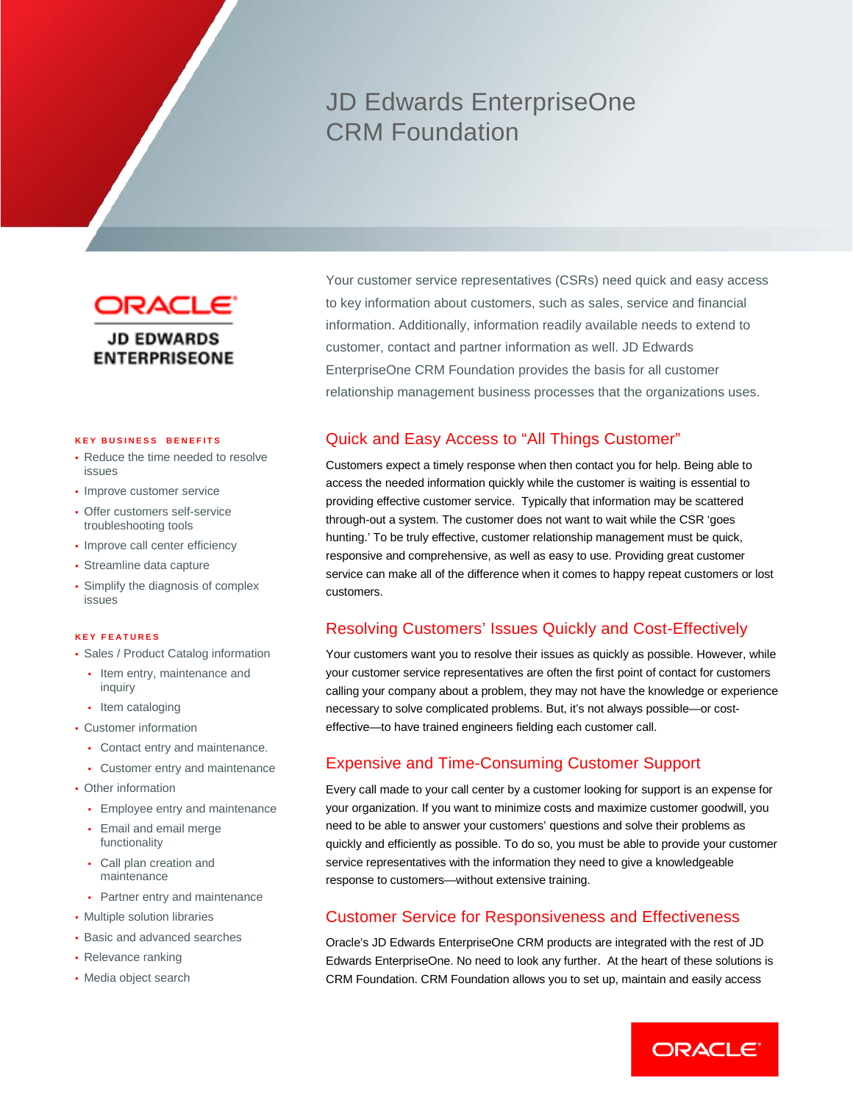# JD Edwards EnterpriseOne CRM Foundation



#### **KEY BUSINES S BENEFITS**

- Reduce the time needed to resolve issues
- Improve customer service
- Offer customers self-service troubleshooting tools
- Improve call center efficiency
- Streamline data capture
- Simplify the diagnosis of complex issues

#### **KEY FEATURES**

- Sales / Product Catalog information
- Item entry, maintenance and inquiry
- Item cataloging
- Customer information
	- Contact entry and maintenance.
	- Customer entry and maintenance
- Other information
	- Employee entry and maintenance
	- Email and email merge functionality
	- Call plan creation and maintenance
	- Partner entry and maintenance
- Multiple solution libraries
- Basic and advanced searches
- Relevance ranking
- Media object search

Your customer service representatives (CSRs) need quick and easy access to key information about customers, such as sales, service and financial information. Additionally, information readily available needs to extend to customer, contact and partner information as well. JD Edwards EnterpriseOne CRM Foundation provides the basis for all customer relationship management business processes that the organizations uses.

### Quick and Easy Access to "All Things Customer"

Customers expect a timely response when then contact you for help. Being able to access the needed information quickly while the customer is waiting is essential to providing effective customer service. Typically that information may be scattered through-out a system. The customer does not want to wait while the CSR 'goes hunting.' To be truly effective, customer relationship management must be quick, responsive and comprehensive, as well as easy to use. Providing great customer service can make all of the difference when it comes to happy repeat customers or lost customers.

### Resolving Customers' Issues Quickly and Cost-Effectively

Your customers want you to resolve their issues as quickly as possible. However, while your customer service representatives are often the first point of contact for customers calling your company about a problem, they may not have the knowledge or experience necessary to solve complicated problems. But, it's not always possible—or costeffective—to have trained engineers fielding each customer call.

### Expensive and Time-Consuming Customer Support

Every call made to your call center by a customer looking for support is an expense for your organization. If you want to minimize costs and maximize customer goodwill, you need to be able to answer your customers' questions and solve their problems as quickly and efficiently as possible. To do so, you must be able to provide your customer service representatives with the information they need to give a knowledgeable response to customers—without extensive training.

#### Customer Service for Responsiveness and Effectiveness

Oracle's JD Edwards EnterpriseOne CRM products are integrated with the rest of JD Edwards EnterpriseOne. No need to look any further. At the heart of these solutions is CRM Foundation. CRM Foundation allows you to set up, maintain and easily access

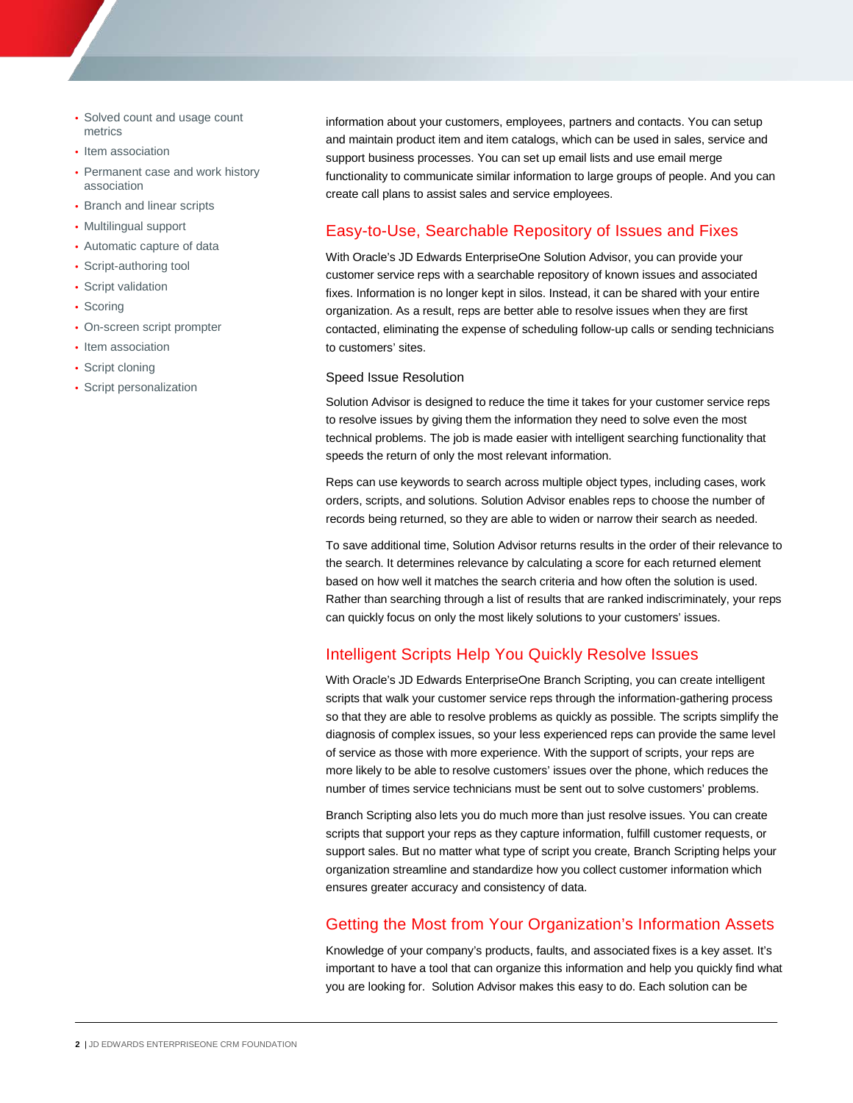- Solved count and usage count metrics
- Item association
- Permanent case and work history association
- Branch and linear scripts
- Multilingual support
- Automatic capture of data
- Script-authoring tool
- Script validation
- Scoring
- On-screen script prompter
- Item association
- Script cloning
- Script personalization

information about your customers, employees, partners and contacts. You can setup and maintain product item and item catalogs, which can be used in sales, service and support business processes. You can set up email lists and use email merge functionality to communicate similar information to large groups of people. And you can create call plans to assist sales and service employees.

# Easy-to-Use, Searchable Repository of Issues and Fixes

With Oracle's JD Edwards EnterpriseOne Solution Advisor, you can provide your customer service reps with a searchable repository of known issues and associated fixes. Information is no longer kept in silos. Instead, it can be shared with your entire organization. As a result, reps are better able to resolve issues when they are first contacted, eliminating the expense of scheduling follow-up calls or sending technicians to customers' sites.

#### Speed Issue Resolution

Solution Advisor is designed to reduce the time it takes for your customer service reps to resolve issues by giving them the information they need to solve even the most technical problems. The job is made easier with intelligent searching functionality that speeds the return of only the most relevant information.

Reps can use keywords to search across multiple object types, including cases, work orders, scripts, and solutions. Solution Advisor enables reps to choose the number of records being returned, so they are able to widen or narrow their search as needed.

To save additional time, Solution Advisor returns results in the order of their relevance to the search. It determines relevance by calculating a score for each returned element based on how well it matches the search criteria and how often the solution is used. Rather than searching through a list of results that are ranked indiscriminately, your reps can quickly focus on only the most likely solutions to your customers' issues.

# Intelligent Scripts Help You Quickly Resolve Issues

With Oracle's JD Edwards EnterpriseOne Branch Scripting, you can create intelligent scripts that walk your customer service reps through the information-gathering process so that they are able to resolve problems as quickly as possible. The scripts simplify the diagnosis of complex issues, so your less experienced reps can provide the same level of service as those with more experience. With the support of scripts, your reps are more likely to be able to resolve customers' issues over the phone, which reduces the number of times service technicians must be sent out to solve customers' problems.

Branch Scripting also lets you do much more than just resolve issues. You can create scripts that support your reps as they capture information, fulfill customer requests, or support sales. But no matter what type of script you create, Branch Scripting helps your organization streamline and standardize how you collect customer information which ensures greater accuracy and consistency of data.

# Getting the Most from Your Organization's Information Assets

Knowledge of your company's products, faults, and associated fixes is a key asset. It's important to have a tool that can organize this information and help you quickly find what you are looking for. Solution Advisor makes this easy to do. Each solution can be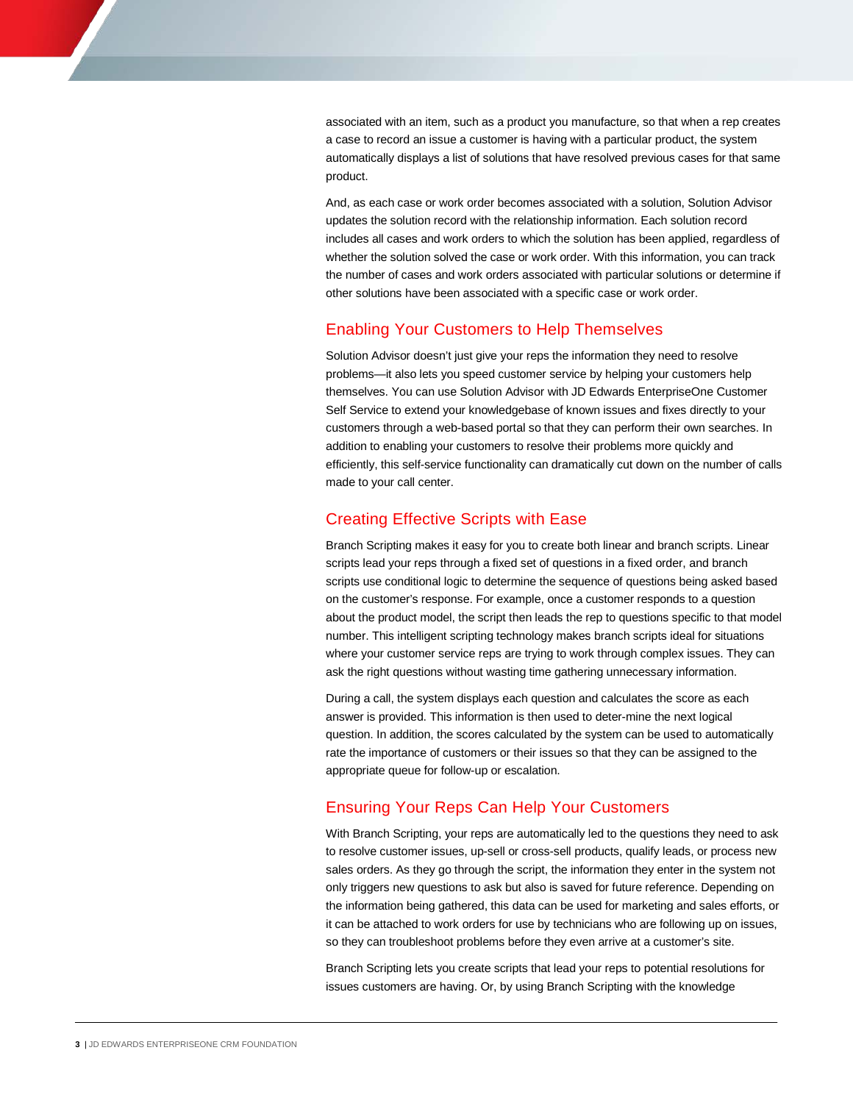associated with an item, such as a product you manufacture, so that when a rep creates a case to record an issue a customer is having with a particular product, the system automatically displays a list of solutions that have resolved previous cases for that same product.

And, as each case or work order becomes associated with a solution, Solution Advisor updates the solution record with the relationship information. Each solution record includes all cases and work orders to which the solution has been applied, regardless of whether the solution solved the case or work order. With this information, you can track the number of cases and work orders associated with particular solutions or determine if other solutions have been associated with a specific case or work order.

## Enabling Your Customers to Help Themselves

Solution Advisor doesn't just give your reps the information they need to resolve problems—it also lets you speed customer service by helping your customers help themselves. You can use Solution Advisor with JD Edwards EnterpriseOne Customer Self Service to extend your knowledgebase of known issues and fixes directly to your customers through a web-based portal so that they can perform their own searches. In addition to enabling your customers to resolve their problems more quickly and efficiently, this self-service functionality can dramatically cut down on the number of calls made to your call center.

## Creating Effective Scripts with Ease

Branch Scripting makes it easy for you to create both linear and branch scripts. Linear scripts lead your reps through a fixed set of questions in a fixed order, and branch scripts use conditional logic to determine the sequence of questions being asked based on the customer's response. For example, once a customer responds to a question about the product model, the script then leads the rep to questions specific to that model number. This intelligent scripting technology makes branch scripts ideal for situations where your customer service reps are trying to work through complex issues. They can ask the right questions without wasting time gathering unnecessary information.

During a call, the system displays each question and calculates the score as each answer is provided. This information is then used to deter-mine the next logical question. In addition, the scores calculated by the system can be used to automatically rate the importance of customers or their issues so that they can be assigned to the appropriate queue for follow-up or escalation.

## Ensuring Your Reps Can Help Your Customers

With Branch Scripting, your reps are automatically led to the questions they need to ask to resolve customer issues, up-sell or cross-sell products, qualify leads, or process new sales orders. As they go through the script, the information they enter in the system not only triggers new questions to ask but also is saved for future reference. Depending on the information being gathered, this data can be used for marketing and sales efforts, or it can be attached to work orders for use by technicians who are following up on issues, so they can troubleshoot problems before they even arrive at a customer's site.

Branch Scripting lets you create scripts that lead your reps to potential resolutions for issues customers are having. Or, by using Branch Scripting with the knowledge